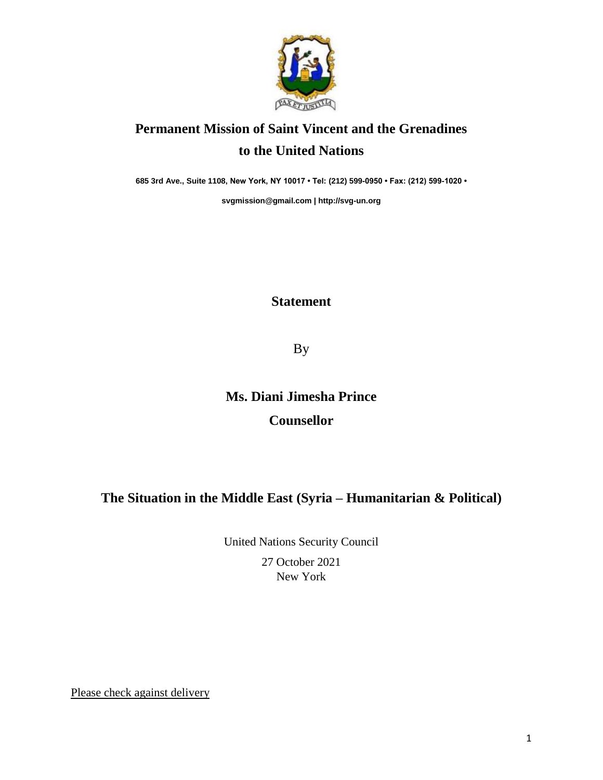

## **Permanent Mission of Saint Vincent and the Grenadines to the United Nations**

**685 3rd Ave., Suite 1108, New York, NY 10017 • Tel: (212) 599-0950 • Fax: (212) 599-1020 •** 

**[svgmission@gmail.com](mailto:svgmission@gmail.com) [| http://svg-un.org](http://svg-un.org/)**

#### **Statement**

By

# **Ms. Diani Jimesha Prince Counsellor**

### **The Situation in the Middle East (Syria – Humanitarian & Political)**

United Nations Security Council

27 October 2021 New York

Please check against delivery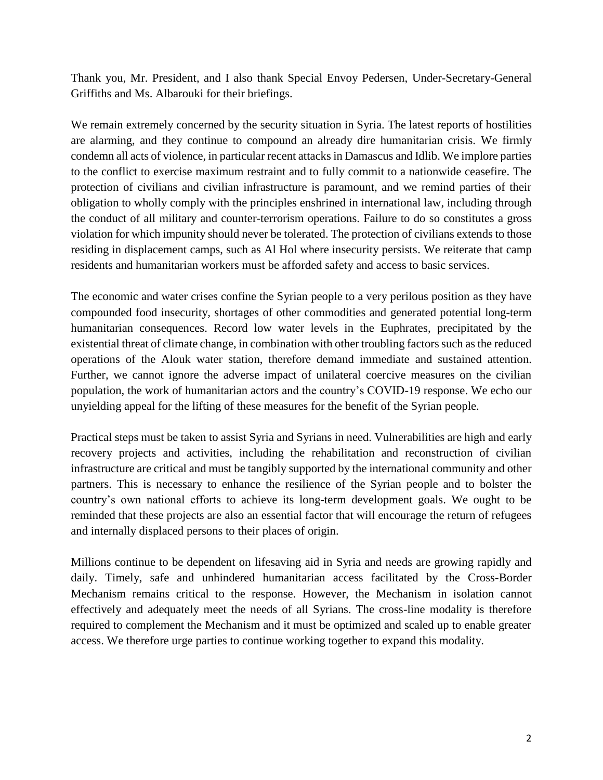Thank you, Mr. President, and I also thank Special Envoy Pedersen, Under-Secretary-General Griffiths and Ms. Albarouki for their briefings.

We remain extremely concerned by the security situation in Syria. The latest reports of hostilities are alarming, and they continue to compound an already dire humanitarian crisis. We firmly condemn all acts of violence, in particular recent attacks in Damascus and Idlib. We implore parties to the conflict to exercise maximum restraint and to fully commit to a nationwide ceasefire. The protection of civilians and civilian infrastructure is paramount, and we remind parties of their obligation to wholly comply with the principles enshrined in international law, including through the conduct of all military and counter-terrorism operations. Failure to do so constitutes a gross violation for which impunity should never be tolerated. The protection of civilians extends to those residing in displacement camps, such as Al Hol where insecurity persists. We reiterate that camp residents and humanitarian workers must be afforded safety and access to basic services.

The economic and water crises confine the Syrian people to a very perilous position as they have compounded food insecurity, shortages of other commodities and generated potential long-term humanitarian consequences. Record low water levels in the Euphrates, precipitated by the existential threat of climate change, in combination with other troubling factors such as the reduced operations of the Alouk water station, therefore demand immediate and sustained attention. Further, we cannot ignore the adverse impact of unilateral coercive measures on the civilian population, the work of humanitarian actors and the country's COVID-19 response. We echo our unyielding appeal for the lifting of these measures for the benefit of the Syrian people.

Practical steps must be taken to assist Syria and Syrians in need. Vulnerabilities are high and early recovery projects and activities, including the rehabilitation and reconstruction of civilian infrastructure are critical and must be tangibly supported by the international community and other partners. This is necessary to enhance the resilience of the Syrian people and to bolster the country's own national efforts to achieve its long-term development goals. We ought to be reminded that these projects are also an essential factor that will encourage the return of refugees and internally displaced persons to their places of origin.

Millions continue to be dependent on lifesaving aid in Syria and needs are growing rapidly and daily. Timely, safe and unhindered humanitarian access facilitated by the Cross-Border Mechanism remains critical to the response. However, the Mechanism in isolation cannot effectively and adequately meet the needs of all Syrians. The cross-line modality is therefore required to complement the Mechanism and it must be optimized and scaled up to enable greater access. We therefore urge parties to continue working together to expand this modality.